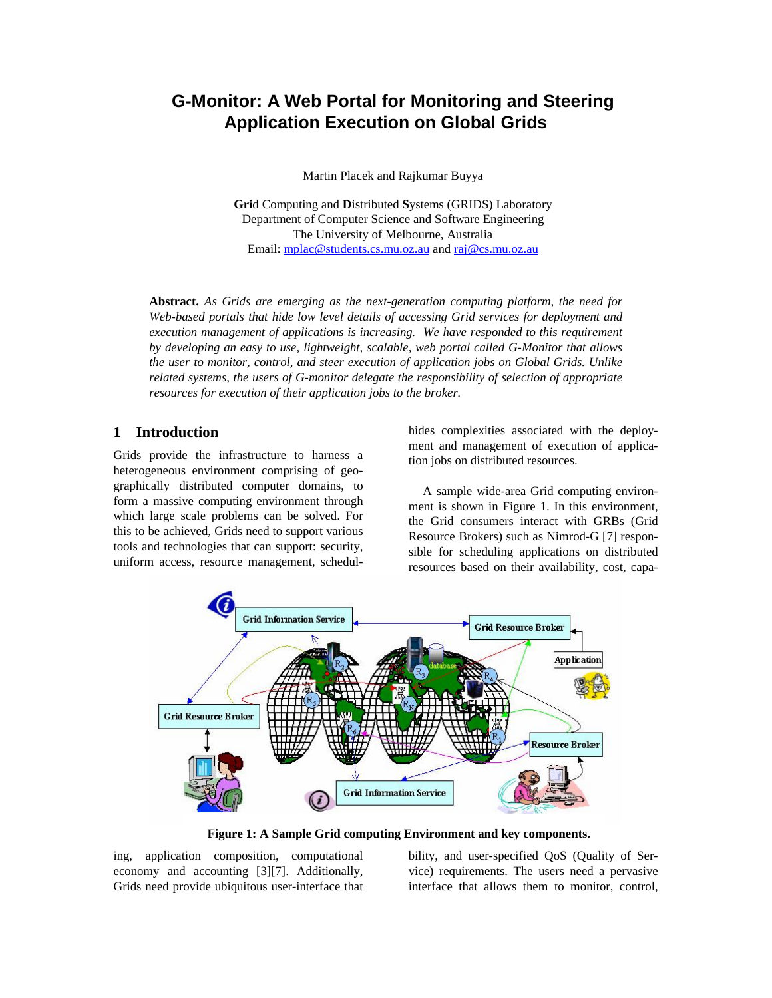# **G-Monitor: A Web Portal for Monitoring and Steering Application Execution on Global Grids**

Martin Placek and Rajkumar Buyya

**Gri**d Computing and **D**istributed **S**ystems (GRIDS) Laboratory Department of Computer Science and Software Engineering The University of Melbourne, Australia Email: mplac@students.cs.mu.oz.au and raj@cs.mu.oz.au

**Abstract.** *As Grids are emerging as the next-generation computing platform, the need for Web-based portals that hide low level details of accessing Grid services for deployment and execution management of applications is increasing. We have responded to this requirement by developing an easy to use, lightweight, scalable, web portal called G-Monitor that allows the user to monitor, control, and steer execution of application jobs on Global Grids. Unlike related systems, the users of G-monitor delegate the responsibility of selection of appropriate resources for execution of their application jobs to the broker.*

## **1 Introduction**

Grids provide the infrastructure to harness a heterogeneous environment comprising of geographically distributed computer domains, to form a massive computing environment through which large scale problems can be solved. For this to be achieved, Grids need to support various tools and technologies that can support: security, uniform access, resource management, schedulhides complexities associated with the deployment and management of execution of application jobs on distributed resources.

A sample wide-area Grid computing environment is shown in Figure 1. In this environment, the Grid consumers interact with GRBs (Grid Resource Brokers) such as Nimrod-G [7] responsible for scheduling applications on distributed resources based on their availability, cost, capa-



**Figure 1: A Sample Grid computing Environment and key components.**

ing, application composition, computational economy and accounting [3][7]. Additionally, Grids need provide ubiquitous user-interface that bility, and user-specified QoS (Quality of Service) requirements. The users need a pervasive interface that allows them to monitor, control,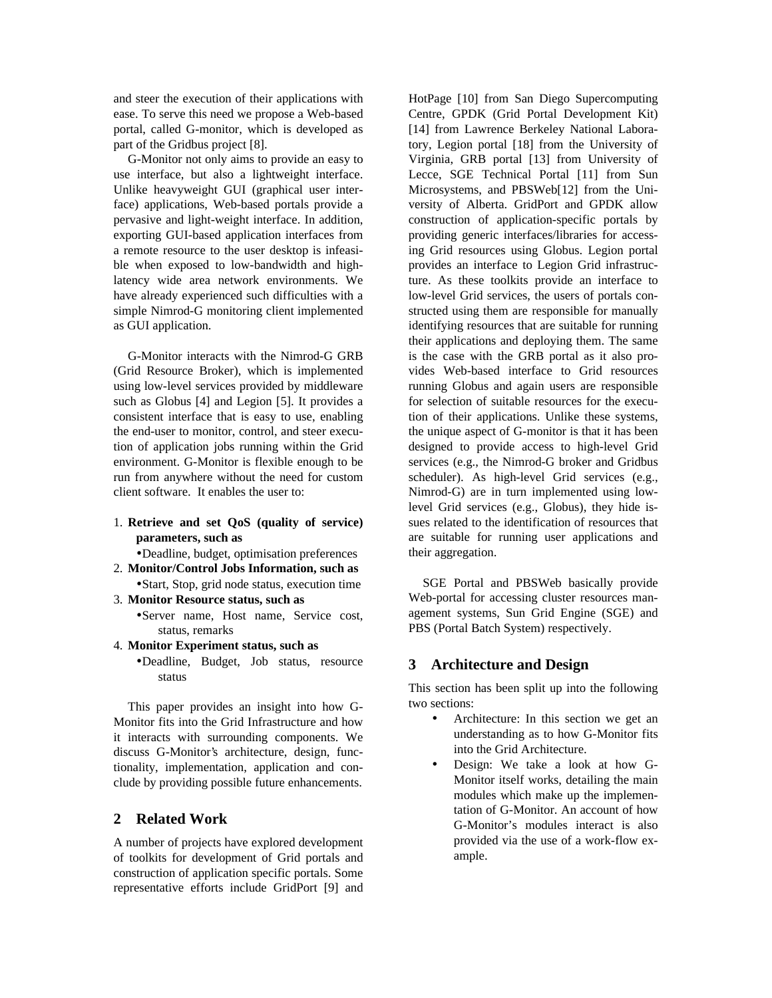and steer the execution of their applications with ease. To serve this need we propose a Web-based portal, called G-monitor, which is developed as part of the Gridbus project [8].

G-Monitor not only aims to provide an easy to use interface, but also a lightweight interface. Unlike heavyweight GUI (graphical user interface) applications, Web-based portals provide a pervasive and light-weight interface. In addition, exporting GUI-based application interfaces from a remote resource to the user desktop is infeasible when exposed to low-bandwidth and highlatency wide area network environments. We have already experienced such difficulties with a simple Nimrod-G monitoring client implemented as GUI application.

G-Monitor interacts with the Nimrod-G GRB (Grid Resource Broker), which is implemented using low-level services provided by middleware such as Globus [4] and Legion [5]. It provides a consistent interface that is easy to use, enabling the end-user to monitor, control, and steer execution of application jobs running within the Grid environment. G-Monitor is flexible enough to be run from anywhere without the need for custom client software. It enables the user to:

- 1. **Retrieve and set QoS (quality of service) parameters, such as**
	- •Deadline, budget, optimisation preferences
- 2. **Monitor/Control Jobs Information, such as**
- •Start, Stop, grid node status, execution time 3. **Monitor Resource status, such as**
	- •Server name, Host name, Service cost, status, remarks
- 4. **Monitor Experiment status, such as**
	- •Deadline, Budget, Job status, resource status

This paper provides an insight into how G-Monitor fits into the Grid Infrastructure and how it interacts with surrounding components. We discuss G-Monitor's architecture, design, functionality, implementation, application and conclude by providing possible future enhancements.

# **2 Related Work**

A number of projects have explored development of toolkits for development of Grid portals and construction of application specific portals. Some representative efforts include GridPort [9] and HotPage [10] from San Diego Supercomputing Centre, GPDK (Grid Portal Development Kit) [14] from Lawrence Berkeley National Laboratory, Legion portal [18] from the University of Virginia, GRB portal [13] from University of Lecce, SGE Technical Portal [11] from Sun Microsystems, and PBSWeb[12] from the University of Alberta. GridPort and GPDK allow construction of application-specific portals by providing generic interfaces/libraries for accessing Grid resources using Globus. Legion portal provides an interface to Legion Grid infrastructure. As these toolkits provide an interface to low-level Grid services, the users of portals constructed using them are responsible for manually identifying resources that are suitable for running their applications and deploying them. The same is the case with the GRB portal as it also provides Web-based interface to Grid resources running Globus and again users are responsible for selection of suitable resources for the execution of their applications. Unlike these systems, the unique aspect of G-monitor is that it has been designed to provide access to high-level Grid services (e.g., the Nimrod-G broker and Gridbus scheduler). As high-level Grid services (e.g., Nimrod-G) are in turn implemented using lowlevel Grid services (e.g., Globus), they hide issues related to the identification of resources that are suitable for running user applications and their aggregation.

SGE Portal and PBSWeb basically provide Web-portal for accessing cluster resources management systems, Sun Grid Engine (SGE) and PBS (Portal Batch System) respectively.

#### **3 Architecture and Design**

This section has been split up into the following two sections:

- Architecture: In this section we get an understanding as to how G-Monitor fits into the Grid Architecture.
- Design: We take a look at how G-Monitor itself works, detailing the main modules which make up the implementation of G-Monitor. An account of how G-Monitor's modules interact is also provided via the use of a work-flow example.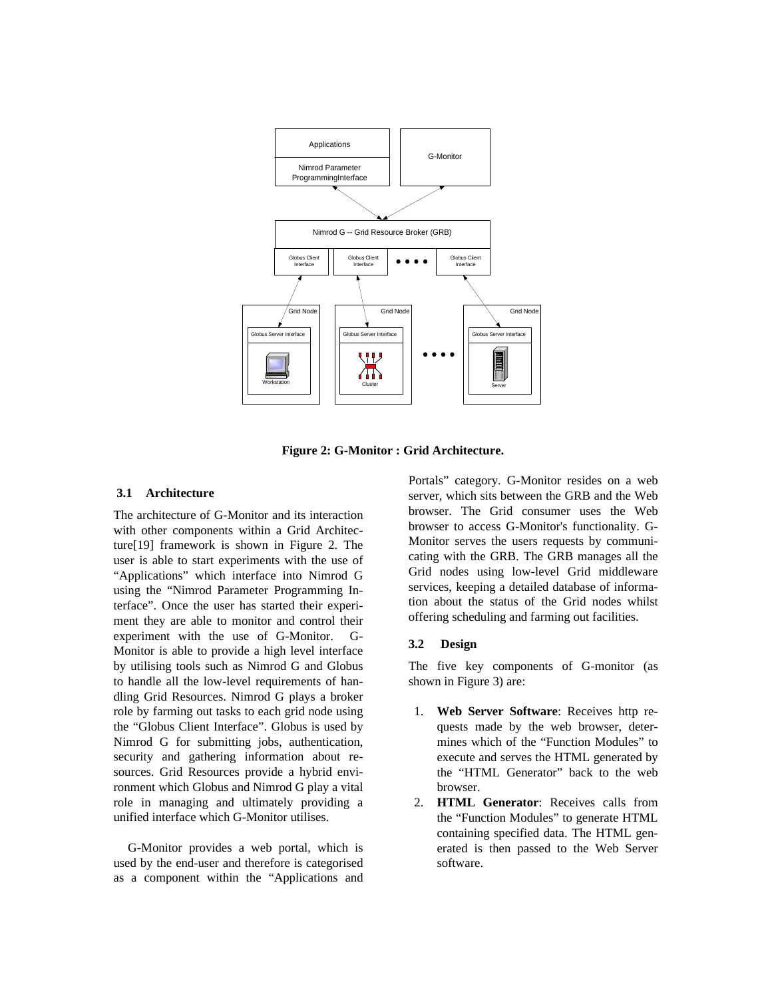

**Figure 2: G-Monitor : Grid Architecture.**

#### **3.1 Architecture**

The architecture of G-Monitor and its interaction with other components within a Grid Architecture[19] framework is shown in Figure 2. The user is able to start experiments with the use of "Applications" which interface into Nimrod G using the "Nimrod Parameter Programming Interface". Once the user has started their experiment they are able to monitor and control their experiment with the use of G-Monitor. G-Monitor is able to provide a high level interface by utilising tools such as Nimrod G and Globus to handle all the low-level requirements of handling Grid Resources. Nimrod G plays a broker role by farming out tasks to each grid node using the "Globus Client Interface". Globus is used by Nimrod G for submitting jobs, authentication, security and gathering information about resources. Grid Resources provide a hybrid environment which Globus and Nimrod G play a vital role in managing and ultimately providing a unified interface which G-Monitor utilises.

G-Monitor provides a web portal, which is used by the end-user and therefore is categorised as a component within the "Applications and Portals" category. G-Monitor resides on a web server, which sits between the GRB and the Web browser. The Grid consumer uses the Web browser to access G-Monitor's functionality. G-Monitor serves the users requests by communicating with the GRB. The GRB manages all the Grid nodes using low-level Grid middleware services, keeping a detailed database of information about the status of the Grid nodes whilst offering scheduling and farming out facilities.

## **3.2 Design**

The five key components of G-monitor (as shown in Figure 3) are:

- 1. **Web Server Software**: Receives http requests made by the web browser, determines which of the "Function Modules" to execute and serves the HTML generated by the "HTML Generator" back to the web browser.
- 2. **HTML Generator**: Receives calls from the "Function Modules" to generate HTML containing specified data. The HTML generated is then passed to the Web Server software.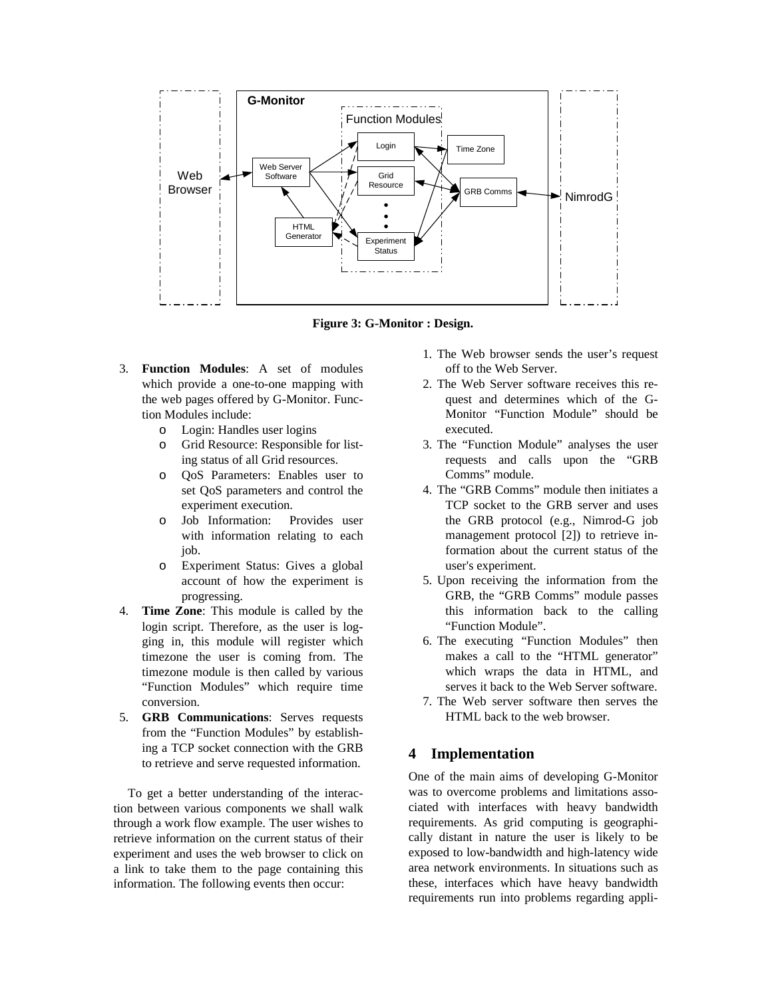

**Figure 3: G-Monitor : Design.**

- 3. **Function Modules**: A set of modules which provide a one-to-one mapping with the web pages offered by G-Monitor. Function Modules include:
	- o Login: Handles user logins
	- o Grid Resource: Responsible for listing status of all Grid resources.
	- o QoS Parameters: Enables user to set QoS parameters and control the experiment execution.
	- o Job Information: Provides user with information relating to each job.
	- o Experiment Status: Gives a global account of how the experiment is progressing.
- 4. **Time Zone**: This module is called by the login script. Therefore, as the user is logging in, this module will register which timezone the user is coming from. The timezone module is then called by various "Function Modules" which require time conversion.
- 5. **GRB Communications**: Serves requests from the "Function Modules" by establishing a TCP socket connection with the GRB to retrieve and serve requested information.

To get a better understanding of the interaction between various components we shall walk through a work flow example. The user wishes to retrieve information on the current status of their experiment and uses the web browser to click on a link to take them to the page containing this information. The following events then occur:

- 1. The Web browser sends the user's request off to the Web Server.
- 2. The Web Server software receives this request and determines which of the G-Monitor "Function Module" should be executed.
- 3. The "Function Module" analyses the user requests and calls upon the "GRB Comms" module.
- 4. The "GRB Comms" module then initiates a TCP socket to the GRB server and uses the GRB protocol (e.g., Nimrod-G job management protocol [2]) to retrieve information about the current status of the user's experiment.
- 5. Upon receiving the information from the GRB, the "GRB Comms" module passes this information back to the calling "Function Module".
- 6. The executing "Function Modules" then makes a call to the "HTML generator" which wraps the data in HTML, and serves it back to the Web Server software.
- 7. The Web server software then serves the HTML back to the web browser.

# **4 Implementation**

One of the main aims of developing G-Monitor was to overcome problems and limitations associated with interfaces with heavy bandwidth requirements. As grid computing is geographically distant in nature the user is likely to be exposed to low-bandwidth and high-latency wide area network environments. In situations such as these, interfaces which have heavy bandwidth requirements run into problems regarding appli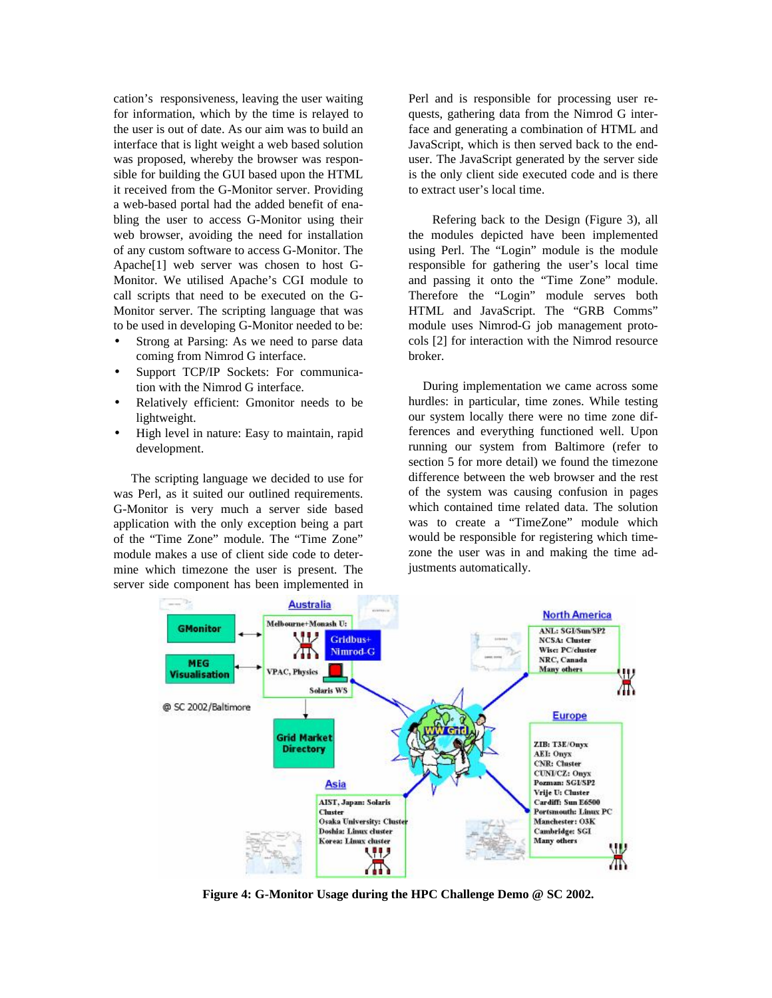cation's responsiveness, leaving the user waiting for information, which by the time is relayed to the user is out of date. As our aim was to build an interface that is light weight a web based solution was proposed, whereby the browser was responsible for building the GUI based upon the HTML it received from the G-Monitor server. Providing a web-based portal had the added benefit of enabling the user to access G-Monitor using their web browser, avoiding the need for installation of any custom software to access G-Monitor. The Apache[1] web server was chosen to host G-Monitor. We utilised Apache's CGI module to call scripts that need to be executed on the G-Monitor server. The scripting language that was to be used in developing G-Monitor needed to be:

- Strong at Parsing: As we need to parse data coming from Nimrod G interface.
- Support TCP/IP Sockets: For communication with the Nimrod G interface.
- Relatively efficient: Gmonitor needs to be lightweight.
- High level in nature: Easy to maintain, rapid development.

The scripting language we decided to use for was Perl, as it suited our outlined requirements. G-Monitor is very much a server side based application with the only exception being a part of the "Time Zone" module. The "Time Zone" module makes a use of client side code to determine which timezone the user is present. The server side component has been implemented in Perl and is responsible for processing user requests, gathering data from the Nimrod G interface and generating a combination of HTML and JavaScript, which is then served back to the enduser. The JavaScript generated by the server side is the only client side executed code and is there to extract user's local time.

Refering back to the Design (Figure 3), all the modules depicted have been implemented using Perl. The "Login" module is the module responsible for gathering the user's local time and passing it onto the "Time Zone" module. Therefore the "Login" module serves both HTML and JavaScript. The "GRB Comms" module uses Nimrod-G job management protocols [2] for interaction with the Nimrod resource broker.

During implementation we came across some hurdles: in particular, time zones. While testing our system locally there were no time zone differences and everything functioned well. Upon running our system from Baltimore (refer to section 5 for more detail) we found the timezone difference between the web browser and the rest of the system was causing confusion in pages which contained time related data. The solution was to create a "TimeZone" module which would be responsible for registering which timezone the user was in and making the time adjustments automatically.



**Figure 4: G-Monitor Usage during the HPC Challenge Demo @ SC 2002.**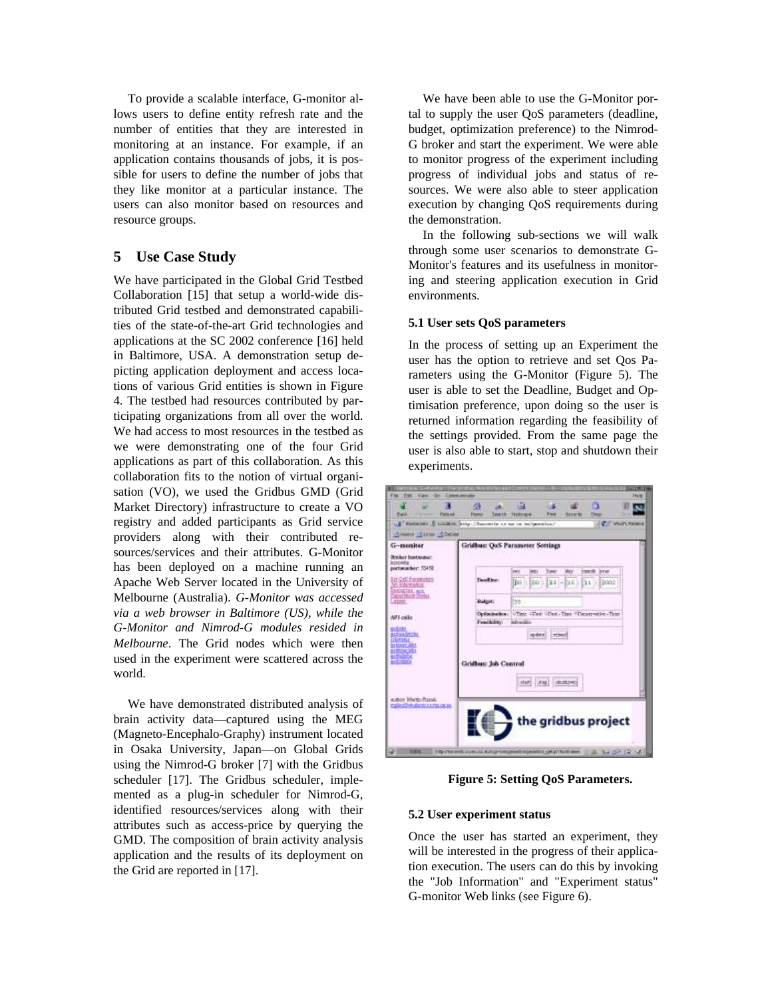To provide a scalable interface, G-monitor allows users to define entity refresh rate and the number of entities that they are interested in monitoring at an instance. For example, if an application contains thousands of jobs, it is possible for users to define the number of jobs that they like monitor at a particular instance. The users can also monitor based on resources and resource groups.

# **5 Use Case Study**

We have participated in the Global Grid Testbed Collaboration [15] that setup a world-wide distributed Grid testbed and demonstrated capabilities of the state-of-the-art Grid technologies and applications at the SC 2002 conference [16] held in Baltimore, USA. A demonstration setup depicting application deployment and access locations of various Grid entities is shown in Figure 4. The testbed had resources contributed by participating organizations from all over the world. We had access to most resources in the testbed as we were demonstrating one of the four Grid applications as part of this collaboration. As this collaboration fits to the notion of virtual organisation (VO), we used the Gridbus GMD (Grid Market Directory) infrastructure to create a VO registry and added participants as Grid service providers along with their contributed resources/services and their attributes. G-Monitor has been deployed on a machine running an Apache Web Server located in the University of Melbourne (Australia). *G-Monitor was accessed via a web browser in Baltimore (US), while the G-Monitor and Nimrod-G modules resided in Melbourne*. The Grid nodes which were then used in the experiment were scattered across the world.

We have demonstrated distributed analysis of brain activity data—captured using the MEG (Magneto-Encephalo-Graphy) instrument located in Osaka University, Japan—on Global Grids using the Nimrod-G broker [7] with the Gridbus scheduler [17]. The Gridbus scheduler, implemented as a plug-in scheduler for Nimrod-G, identified resources/services along with their attributes such as access-price by querying the GMD. The composition of brain activity analysis application and the results of its deployment on the Grid are reported in [17].

We have been able to use the G-Monitor portal to supply the user QoS parameters (deadline, budget, optimization preference) to the Nimrod-G broker and start the experiment. We were able to monitor progress of the experiment including progress of individual jobs and status of resources. We were also able to steer application execution by changing QoS requirements during the demonstration.

In the following sub-sections we will walk through some user scenarios to demonstrate G-Monitor's features and its usefulness in monitoring and steering application execution in Grid environments.

#### **5.1 User sets QoS parameters**

In the process of setting up an Experiment the user has the option to retrieve and set Qos Parameters using the G-Monitor (Figure 5). The user is able to set the Deadline, Budget and Optimisation preference, upon doing so the user is returned information regarding the feasibility of the settings provided. From the same page the user is also able to start, stop and shutdown their experiments.



**Figure 5: Setting QoS Parameters.**

#### **5.2 User experiment status**

Once the user has started an experiment, they will be interested in the progress of their application execution. The users can do this by invoking the "Job Information" and "Experiment status" G-monitor Web links (see Figure 6).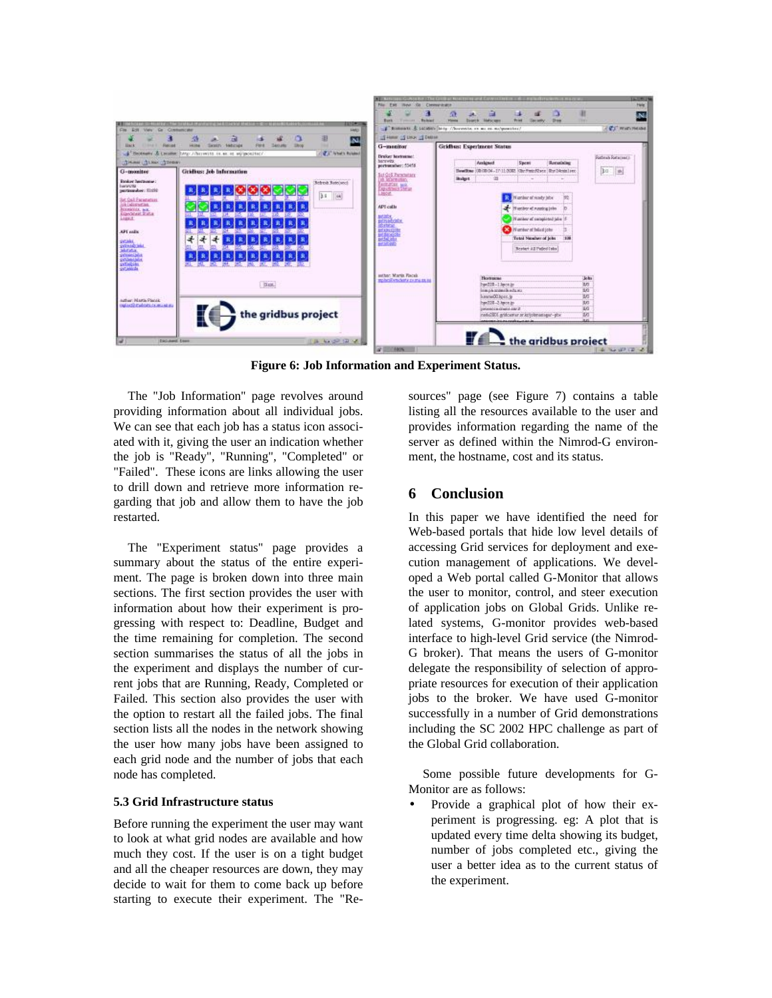

**Figure 6: Job Information and Experiment Status.**

The "Job Information" page revolves around providing information about all individual jobs. We can see that each job has a status icon associated with it, giving the user an indication whether the job is "Ready", "Running", "Completed" or "Failed". These icons are links allowing the user to drill down and retrieve more information regarding that job and allow them to have the job restarted.

The "Experiment status" page provides a summary about the status of the entire experiment. The page is broken down into three main sections. The first section provides the user with information about how their experiment is progressing with respect to: Deadline, Budget and the time remaining for completion. The second section summarises the status of all the jobs in the experiment and displays the number of current jobs that are Running, Ready, Completed or Failed. This section also provides the user with the option to restart all the failed jobs. The final section lists all the nodes in the network showing the user how many jobs have been assigned to each grid node and the number of jobs that each node has completed.

## **5.3 Grid Infrastructure status**

Before running the experiment the user may want to look at what grid nodes are available and how much they cost. If the user is on a tight budget and all the cheaper resources are down, they may decide to wait for them to come back up before starting to execute their experiment. The "Resources" page (see Figure 7) contains a table listing all the resources available to the user and provides information regarding the name of the server as defined within the Nimrod-G environment, the hostname, cost and its status.

# **6 Conclusion**

In this paper we have identified the need for Web-based portals that hide low level details of accessing Grid services for deployment and execution management of applications. We developed a Web portal called G-Monitor that allows the user to monitor, control, and steer execution of application jobs on Global Grids. Unlike related systems, G-monitor provides web-based interface to high-level Grid service (the Nimrod-G broker). That means the users of G-monitor delegate the responsibility of selection of appropriate resources for execution of their application jobs to the broker. We have used G-monitor successfully in a number of Grid demonstrations including the SC 2002 HPC challenge as part of the Global Grid collaboration.

Some possible future developments for G-Monitor are as follows:

• Provide a graphical plot of how their experiment is progressing. eg: A plot that is updated every time delta showing its budget, number of jobs completed etc., giving the user a better idea as to the current status of the experiment.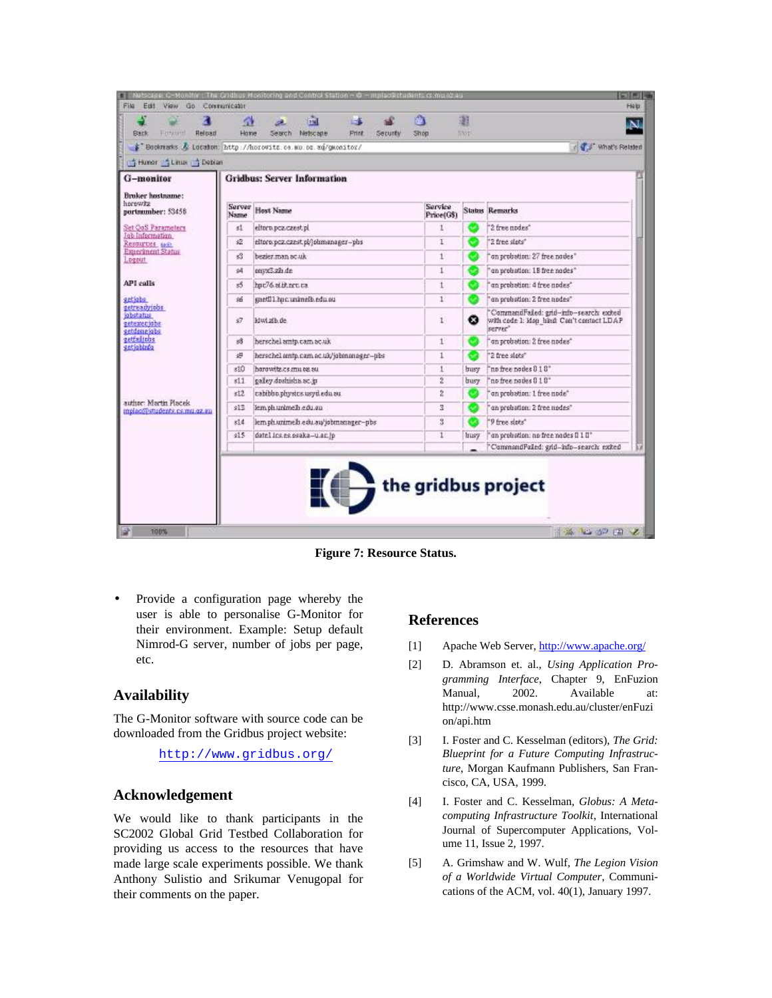| <b>Back</b><br>Fotward<br>Reload                                                                                                                        | 43<br>Home. | PM<br>ЕE<br>Search Netscape<br>Print<br>Security.            | И.<br><b>Shop</b> | 灦<br>litop  |                                                                                                  |  |
|---------------------------------------------------------------------------------------------------------------------------------------------------------|-------------|--------------------------------------------------------------|-------------------|-------------|--------------------------------------------------------------------------------------------------|--|
|                                                                                                                                                         |             | : Bookmarks & Locaton: http://horowitz.ce.wo.or.au/gwonitor/ |                   |             | <b>If I' What's Related</b>                                                                      |  |
| SHumor SLinux SDebian                                                                                                                                   |             |                                                              |                   |             |                                                                                                  |  |
| G-monitor                                                                                                                                               |             | <b>Gridbus: Server Information</b>                           |                   |             |                                                                                                  |  |
| Bruker hostname:<br>horowitz<br>nortnumber: 53458<br>Set CoS Parameters<br>Teb Information<br>Resources 660<br>Experiment Status<br>.pgput              | Server.     | <b>Host Name</b>                                             | Service           |             | <b>Status Remarks</b>                                                                            |  |
|                                                                                                                                                         | Name        |                                                              | Price(G\$)        |             |                                                                                                  |  |
|                                                                                                                                                         | вt          | eltoro.pcz.czest.pl                                          | 1                 |             | "2 free nodes"                                                                                   |  |
|                                                                                                                                                         | 32          | eltere.pcz.czest.pl/Johmanager-phs                           | I                 |             | "2 free slots"                                                                                   |  |
|                                                                                                                                                         | KS.         | bezier man ac uk                                             | $\mathbf{1}$      |             | 'on probation: 27 free nodes"                                                                    |  |
|                                                                                                                                                         | 4d          | onyx3.zh.dr.                                                 | 1                 |             | 'on probation: 18 free nodes"                                                                    |  |
| API calls                                                                                                                                               | 85          | hpr76.ai.it.nrt.ca                                           | t                 |             | 'on probation: 4 free nodes"                                                                     |  |
| getiabs.<br>getreadyjobs<br>jabstatus<br>getexeciabs<br>getdonejabs<br>getfallous<br>getjablnia<br>author: Martin Placek.<br>mplac@students.cs.mu.gz.au | 逅           | gnetI1.hpc.unimelb.edu.au                                    | $\mathbf{1}$      |             | on probation: 2 free nodes"                                                                      |  |
|                                                                                                                                                         | 47          | ktud zib de                                                  | $\mathbf{1}$      | Ω           | CommandFailed: grid-info-search: exited-<br>with code 1: Map hind: Can't contact LDAP<br>server" |  |
|                                                                                                                                                         | ×8          | herschel amtp.cam.ac.uk                                      | 1                 |             | on probation: 2 free nodes"                                                                      |  |
|                                                                                                                                                         | 缇           | herschel amtp.cam.ac.uk/jabmanager-abs                       | $\mathbf{1}$      |             | "2 free slots"                                                                                   |  |
|                                                                                                                                                         | s10         | harawitz.cs.mu.cz.zu                                         | $\mathbf{1}$      | busy        | "no free nodes 0 1 0"                                                                            |  |
|                                                                                                                                                         | 511         | galley doshisha ac. in                                       | 2                 | busy        | 'no free nodes 0 10"                                                                             |  |
|                                                                                                                                                         | 512         | cabibbo.physics.usyd.edu.ou                                  | 2                 |             | 'on probation: 1 free node"                                                                      |  |
|                                                                                                                                                         | :13         | lem phunimels.edu.gu                                         | 3                 |             | 'on probation: 2 free nodes"                                                                     |  |
|                                                                                                                                                         | s14         | lem.ph.unimelb.edu.au/jobmanager-pbs                         | 3                 |             | "9 free slots"                                                                                   |  |
|                                                                                                                                                         | 415         | date1.ics.es.psaka-u.ac.jp                                   | 1                 | <b>busy</b> | 'on probation: no free nodes (I 1 0"                                                             |  |
|                                                                                                                                                         |             |                                                              |                   |             | "CommandFaled: grid-info-search: exited                                                          |  |

**Figure 7: Resource Status.**

• Provide a configuration page whereby the user is able to personalise G-Monitor for their environment. Example: Setup default Nimrod-G server, number of jobs per page, etc.

# **Availability**

The G-Monitor software with source code can be downloaded from the Gridbus project website:

http://www.gridbus.org/

## **Acknowledgement**

We would like to thank participants in the SC2002 Global Grid Testbed Collaboration for providing us access to the resources that have made large scale experiments possible. We thank Anthony Sulistio and Srikumar Venugopal for their comments on the paper.

## **References**

- [1] Apache Web Server, http://www.apache.org/
- [2] D. Abramson et. al., *Using Application Programming Interface*, Chapter 9, EnFuzion Manual, 2002. Available at: http://www.csse.monash.edu.au/cluster/enFuzi on/api.htm
- [3] I. Foster and C. Kesselman (editors), *The Grid: Blueprint for a Future Computing Infrastructure*, Morgan Kaufmann Publishers, San Francisco, CA, USA, 1999.
- [4] I. Foster and C. Kesselman, *Globus: A Metacomputing Infrastructure Toolkit*, International Journal of Supercomputer Applications, Volume 11, Issue 2, 1997.
- [5] A. Grimshaw and W. Wulf, *The Legion Vision of a Worldwide Virtual Computer*, Communications of the ACM, vol. 40(1), January 1997.